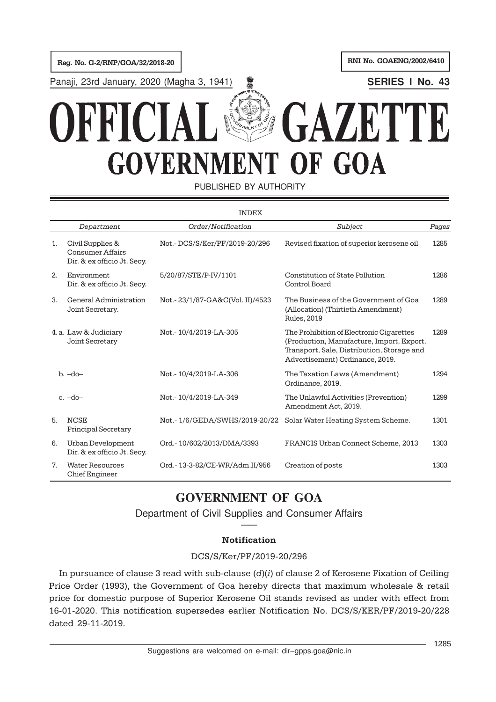Reg. No. G-2/RNP/GOA/32/2018-20 RNI No. GOAENG/2002/6410

Panaji, 23rd January, 2020 (Magha 3, 1941) **SERIES I No. 43**

# **GAZETTE** OFFIC **GOVERNMENT OF GOA**

PUBLISHED BY AUTHORITY

|    |                                                                            | <b>INDEX</b>                    |                                                                                                                                                                        |       |
|----|----------------------------------------------------------------------------|---------------------------------|------------------------------------------------------------------------------------------------------------------------------------------------------------------------|-------|
|    | Department                                                                 | Order/Notification              | Subject                                                                                                                                                                | Pages |
| 1. | Civil Supplies &<br><b>Consumer Affairs</b><br>Dir. & ex officio Jt. Secy. | Not.-DCS/S/Ker/PF/2019-20/296   | Revised fixation of superior kerosene oil                                                                                                                              | 1285  |
| 2. | Environment<br>Dir. & ex officio Jt. Secy.                                 | 5/20/87/STE/P-IV/1101           | Constitution of State Pollution<br>Control Board                                                                                                                       | 1286  |
| 3. | General Administration<br>Joint Secretary.                                 | Not.-23/1/87-GA&C(Vol. II)/4523 | The Business of the Government of Goa<br>(Allocation) (Thirtieth Amendment)<br><b>Rules, 2019</b>                                                                      | 1289  |
|    | 4. a. Law & Judiciary<br>Joint Secretary                                   | Not.-10/4/2019-LA-305           | The Prohibition of Electronic Cigarettes<br>(Production, Manufacture, Import, Export,<br>Transport, Sale, Distribution, Storage and<br>Advertisement) Ordinance, 2019. | 1289  |
|    | $b. -do-$                                                                  | Not.-10/4/2019-LA-306           | The Taxation Laws (Amendment)<br>Ordinance, 2019.                                                                                                                      | 1294  |
|    | $c. -do-$                                                                  | Not.-10/4/2019-LA-349           | The Unlawful Activities (Prevention)<br>Amendment Act, 2019.                                                                                                           | 1299  |
| 5. | <b>NCSE</b><br><b>Principal Secretary</b>                                  | Not.-1/6/GEDA/SWHS/2019-20/22   | Solar Water Heating System Scheme.                                                                                                                                     | 1301  |
| 6. | Urban Development<br>Dir. & ex officio Jt. Secy.                           | Ord.-10/602/2013/DMA/3393       | FRANCIS Urban Connect Scheme, 2013                                                                                                                                     | 1303  |
| 7. | <b>Water Resources</b><br>Chief Engineer                                   | Ord.-13-3-82/CE-WR/Adm.II/956   | Creation of posts                                                                                                                                                      | 1303  |

# **GOVERNMENT OF GOA**

Department of Civil Supplies and Consumer Affairs ——

# Notification

# DCS/S/Ker/PF/2019-20/296

In pursuance of clause 3 read with sub-clause  $(d)(i)$  of clause 2 of Kerosene Fixation of Ceiling Price Order (1993), the Government of Goa hereby directs that maximum wholesale & retail price for domestic purpose of Superior Kerosene Oil stands revised as under with effect from 16-01-2020. This notification supersedes earlier Notification No. DCS/S/KER/PF/2019-20/228 dated 29-11-2019.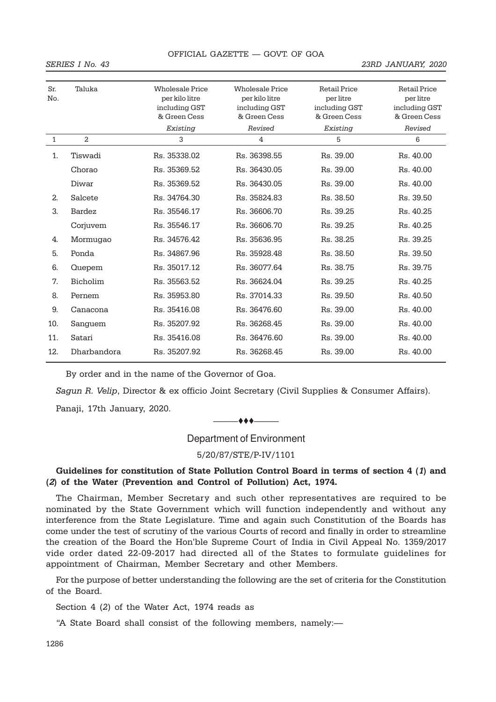#### SERIES I No. 43 23RD JANUARY, 2020

| Sr.<br>No.     | Taluka      | <b>Wholesale Price</b><br>per kilo litre<br>including GST<br>& Green Cess | <b>Wholesale Price</b><br>per kilo litre<br>including GST<br>& Green Cess | <b>Retail Price</b><br>per litre<br>including GST<br>& Green Cess | <b>Retail Price</b><br>per litre<br>including GST<br>& Green Cess |
|----------------|-------------|---------------------------------------------------------------------------|---------------------------------------------------------------------------|-------------------------------------------------------------------|-------------------------------------------------------------------|
|                |             | Existing                                                                  | Revised                                                                   | Existing                                                          | Revised                                                           |
| $\mathbf{1}$   | 2           | 3                                                                         | 4                                                                         | 5                                                                 | 6                                                                 |
| $\mathbf{1}$ . | Tiswadi     | Rs. 35338.02                                                              | Rs. 36398.55                                                              | Rs. 39.00                                                         | Rs. 40.00                                                         |
|                | Chorao      | Rs. 35369.52                                                              | Rs. 36430.05                                                              | Rs. 39.00                                                         | Rs. 40.00                                                         |
|                | Diwar       | Rs. 35369.52                                                              | Rs. 36430.05                                                              | Rs. 39.00                                                         | Rs. 40.00                                                         |
| 2.             | Salcete     | Rs. 34764.30                                                              | Rs. 35824.83                                                              | Rs. 38.50                                                         | Rs. 39.50                                                         |
| 3.             | Bardez      | Rs. 35546.17                                                              | Rs. 36606.70                                                              | Rs. 39.25                                                         | Rs. 40.25                                                         |
|                | Corjuvem    | Rs. 35546.17                                                              | Rs. 36606.70                                                              | Rs. 39.25                                                         | Rs. 40.25                                                         |
| 4.             | Mormugao    | Rs. 34576.42                                                              | Rs. 35636.95                                                              | Rs. 38.25                                                         | Rs. 39.25                                                         |
| 5.             | Ponda       | Rs. 34867.96                                                              | Rs. 35928.48                                                              | Rs. 38.50                                                         | Rs. 39.50                                                         |
| 6.             | Quepem      | Rs. 35017.12                                                              | Rs. 36077.64                                                              | Rs. 38.75                                                         | Rs. 39.75                                                         |
| 7.             | Bicholim    | Rs. 35563.52                                                              | Rs. 36624.04                                                              | Rs. 39.25                                                         | Rs. 40.25                                                         |
| 8.             | Pernem      | Rs. 35953.80                                                              | Rs. 37014.33                                                              | Rs. 39.50                                                         | Rs. 40.50                                                         |
| 9.             | Canacona    | Rs. 35416.08                                                              | Rs. 36476.60                                                              | Rs. 39.00                                                         | Rs. 40.00                                                         |
| 10.            | Sanguem     | Rs. 35207.92                                                              | Rs. 36268.45                                                              | Rs. 39.00                                                         | Rs. 40.00                                                         |
| 11.            | Satari      | Rs. 35416.08                                                              | Rs. 36476.60                                                              | Rs. 39.00                                                         | Rs. 40.00                                                         |
| 12.            | Dharbandora | Rs. 35207.92                                                              | Rs. 36268.45                                                              | Rs. 39.00                                                         | Rs. 40.00                                                         |
|                |             |                                                                           |                                                                           |                                                                   |                                                                   |

By order and in the name of the Governor of Goa.

Sagun R. Velip, Director & ex officio Joint Secretary (Civil Supplies & Consumer Affairs).

Panaji, 17th January, 2020.

#### ———ttt———

Department of Environment

5/20/87/STE/P-IV/1101

# Guidelines for constitution of State Pollution Control Board in terms of section 4 (1) and (2) of the Water (Prevention and Control of Pollution) Act, 1974.

The Chairman, Member Secretary and such other representatives are required to be nominated by the State Government which will function independently and without any interference from the State Legislature. Time and again such Constitution of the Boards has come under the test of scrutiny of the various Courts of record and finally in order to streamline the creation of the Board the Hon'ble Supreme Court of India in Civil Appeal No. 1359/2017 vide order dated 22-09-2017 had directed all of the States to formulate guidelines for appointment of Chairman, Member Secretary and other Members.

For the purpose of better understanding the following are the set of criteria for the Constitution of the Board.

Section 4 (2) of the Water Act, 1974 reads as

"A State Board shall consist of the following members, namely:—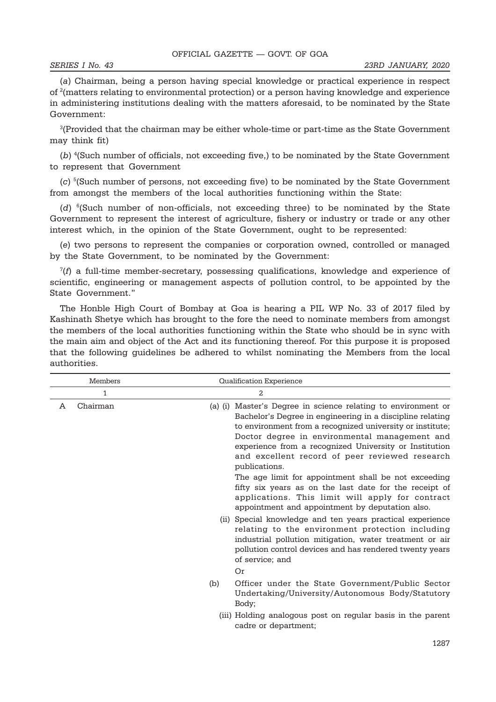(a) Chairman, being a person having special knowledge or practical experience in respect of <sup>2</sup> (matters relating to environmental protection) or a person having knowledge and experience in administering institutions dealing with the matters aforesaid, to be nominated by the State Government:

 $\rm{^{3}\!(Provided}$  that the chairman may be either whole-time or part-time as the State Government may think fit)

(b)<sup>4</sup>(Such number of officials, not exceeding five,) to be nominated by the State Government to represent that Government

(c) <sup>5</sup> (Such number of persons, not exceeding five) to be nominated by the State Government from amongst the members of the local authorities functioning within the State:

(d) <sup>6</sup>(Such number of non-officials, not exceeding three) to be nominated by the State Government to represent the interest of agriculture, fishery or industry or trade or any other interest which, in the opinion of the State Government, ought to be represented:

(e) two persons to represent the companies or corporation owned, controlled or managed by the State Government, to be nominated by the Government:

7 (f) a full-time member-secretary, possessing qualifications, knowledge and experience of scientific, engineering or management aspects of pollution control, to be appointed by the State Government."

The Honble High Court of Bombay at Goa is hearing a PIL WP No. 33 of 2017 filed by Kashinath Shetye which has brought to the fore the need to nominate members from amongst the members of the local authorities functioning within the State who should be in sync with the main aim and object of the Act and its functioning thereof. For this purpose it is proposed that the following guidelines be adhered to whilst nominating the Members from the local authorities.

| Members       | Qualification Experience                                                                                                                                                                                                                                                                                                                                                                                                                                                                                                                                                                       |
|---------------|------------------------------------------------------------------------------------------------------------------------------------------------------------------------------------------------------------------------------------------------------------------------------------------------------------------------------------------------------------------------------------------------------------------------------------------------------------------------------------------------------------------------------------------------------------------------------------------------|
| 1             | 2                                                                                                                                                                                                                                                                                                                                                                                                                                                                                                                                                                                              |
| Chairman<br>A | (a) (i) Master's Degree in science relating to environment or<br>Bachelor's Degree in engineering in a discipline relating<br>to environment from a recognized university or institute;<br>Doctor degree in environmental management and<br>experience from a recognized University or Institution<br>and excellent record of peer reviewed research<br>publications.<br>The age limit for appointment shall be not exceeding<br>fifty six years as on the last date for the receipt of<br>applications. This limit will apply for contract<br>appointment and appointment by deputation also. |
|               | (ii) Special knowledge and ten years practical experience<br>relating to the environment protection including<br>industrial pollution mitigation, water treatment or air<br>pollution control devices and has rendered twenty years<br>of service; and                                                                                                                                                                                                                                                                                                                                         |
|               | Or                                                                                                                                                                                                                                                                                                                                                                                                                                                                                                                                                                                             |
|               | Officer under the State Government/Public Sector<br>(b)<br>Undertaking/University/Autonomous Body/Statutory<br>Body;                                                                                                                                                                                                                                                                                                                                                                                                                                                                           |
|               | (iii) Holding analogous post on regular basis in the parent<br>cadre or department;                                                                                                                                                                                                                                                                                                                                                                                                                                                                                                            |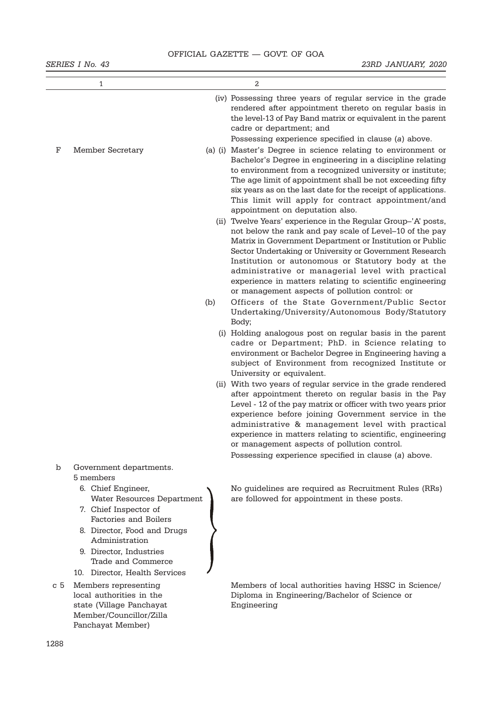|     | 1                                                                                                                                                        |     | 2                                                                                                                                                                                                                                                                                                                                                                                                                                                                        |
|-----|----------------------------------------------------------------------------------------------------------------------------------------------------------|-----|--------------------------------------------------------------------------------------------------------------------------------------------------------------------------------------------------------------------------------------------------------------------------------------------------------------------------------------------------------------------------------------------------------------------------------------------------------------------------|
| F   | <b>Member Secretary</b>                                                                                                                                  |     | (iv) Possessing three years of regular service in the grade<br>rendered after appointment thereto on regular basis in<br>the level-13 of Pay Band matrix or equivalent in the parent<br>cadre or department; and<br>Possessing experience specified in clause (a) above.<br>(a) (i) Master's Degree in science relating to environment or                                                                                                                                |
|     |                                                                                                                                                          |     | Bachelor's Degree in engineering in a discipline relating<br>to environment from a recognized university or institute;<br>The age limit of appointment shall be not exceeding fifty<br>six years as on the last date for the receipt of applications.<br>This limit will apply for contract appointment/and<br>appointment on deputation also.                                                                                                                           |
|     |                                                                                                                                                          |     | (ii) Twelve Years' experience in the Regular Group-'A' posts,<br>not below the rank and pay scale of Level-10 of the pay<br>Matrix in Government Department or Institution or Public<br>Sector Undertaking or University or Government Research<br>Institution or autonomous or Statutory body at the<br>administrative or managerial level with practical<br>experience in matters relating to scientific engineering<br>or management aspects of pollution control: or |
|     |                                                                                                                                                          | (b) | Officers of the State Government/Public Sector<br>Undertaking/University/Autonomous Body/Statutory<br>Body;                                                                                                                                                                                                                                                                                                                                                              |
|     |                                                                                                                                                          |     | (i) Holding analogous post on regular basis in the parent<br>cadre or Department; PhD. in Science relating to<br>environment or Bachelor Degree in Engineering having a<br>subject of Environment from recognized Institute or<br>University or equivalent.                                                                                                                                                                                                              |
|     |                                                                                                                                                          |     | (ii) With two years of regular service in the grade rendered<br>after appointment thereto on regular basis in the Pay<br>Level - 12 of the pay matrix or officer with two years prior<br>experience before joining Government service in the<br>administrative & management level with practical<br>experience in matters relating to scientific, engineering<br>or management aspects of pollution control.<br>Possessing experience specified in clause (a) above.     |
| b   | Government departments.<br>5 members<br>6. Chief Engineer,<br>Water Resources Department<br>7. Chief Inspector of                                        |     | No guidelines are required as Recruitment Rules (RRs)<br>are followed for appointment in these posts.                                                                                                                                                                                                                                                                                                                                                                    |
|     | Factories and Boilers<br>8. Director, Food and Drugs<br>Administration<br>9. Director, Industries<br>Trade and Commerce<br>10. Director, Health Services |     |                                                                                                                                                                                                                                                                                                                                                                                                                                                                          |
| c 5 | Members representing<br>local authorities in the<br>state (Village Panchayat<br>Member/Councillor/Zilla<br>Panchayat Member)                             |     | Members of local authorities having HSSC in Science/<br>Diploma in Engineering/Bachelor of Science or<br>Engineering                                                                                                                                                                                                                                                                                                                                                     |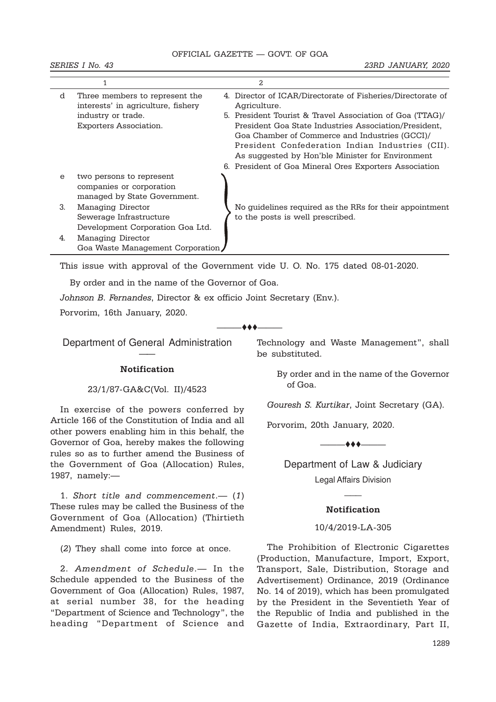|          |                                                                      | 2                                                                           |
|----------|----------------------------------------------------------------------|-----------------------------------------------------------------------------|
| d        | Three members to represent the<br>interests' in agriculture, fishery | 4. Director of ICAR/Directorate of Fisheries/Directorate of<br>Agriculture. |
|          | industry or trade.                                                   | 5. President Tourist & Travel Association of Goa (TTAG)/                    |
|          | <b>Exporters Association.</b>                                        | President Goa State Industries Association/President.                       |
|          |                                                                      | Goa Chamber of Commerce and Industries (GCCI)/                              |
|          |                                                                      | President Confederation Indian Industries (CII).                            |
|          |                                                                      | As suggested by Hon'ble Minister for Environment                            |
|          |                                                                      | 6. President of Goa Mineral Ores Exporters Association                      |
| $\Theta$ | two persons to represent                                             |                                                                             |
|          | companies or corporation                                             |                                                                             |
|          | managed by State Government.                                         |                                                                             |
| 3.       | Managing Director                                                    | No guidelines required as the RRs for their appointment                     |
|          | Sewerage Infrastructure                                              | to the posts is well prescribed.                                            |
|          | Development Corporation Goa Ltd.                                     |                                                                             |
| 4.       | Managing Director                                                    |                                                                             |
|          | Goa Waste Management Corporation                                     |                                                                             |

This issue with approval of the Government vide U. O. No. 175 dated 08-01-2020.

 $-$  + +  $+$ 

By order and in the name of the Governor of Goa.

Johnson B. Fernandes, Director & ex officio Joint Secretary (Env.).

Porvorim, 16th January, 2020.

Department of General Administration ——

#### Notification

#### 23/1/87-GA&C(Vol. II)/4523

In exercise of the powers conferred by Article 166 of the Constitution of India and all other powers enabling him in this behalf, the Governor of Goa, hereby makes the following rules so as to further amend the Business of the Government of Goa (Allocation) Rules, 1987, namely:—

1. Short title and commencement.— (1) These rules may be called the Business of the Government of Goa (Allocation) (Thirtieth Amendment) Rules, 2019.

(2) They shall come into force at once.

2. Amendment of Schedule.— In the Schedule appended to the Business of the Government of Goa (Allocation) Rules, 1987, at serial number 38, for the heading "Department of Science and Technology", the heading "Department of Science and Technology and Waste Management", shall be substituted.

> By order and in the name of the Governor of Goa.

Gouresh S. Kurtikar, Joint Secretary (GA).

Porvorim, 20th January, 2020.

 $\longrightarrow$  to the contract of  $\bullet$ 

Department of Law & Judiciary Legal Affairs Division

### Notification

 $\overline{\phantom{a}}$ 

#### 10/4/2019-LA-305

The Prohibition of Electronic Cigarettes (Production, Manufacture, Import, Export, Transport, Sale, Distribution, Storage and Advertisement) Ordinance, 2019 (Ordinance No. 14 of 2019), which has been promulgated by the President in the Seventieth Year of the Republic of India and published in the Gazette of India, Extraordinary, Part II,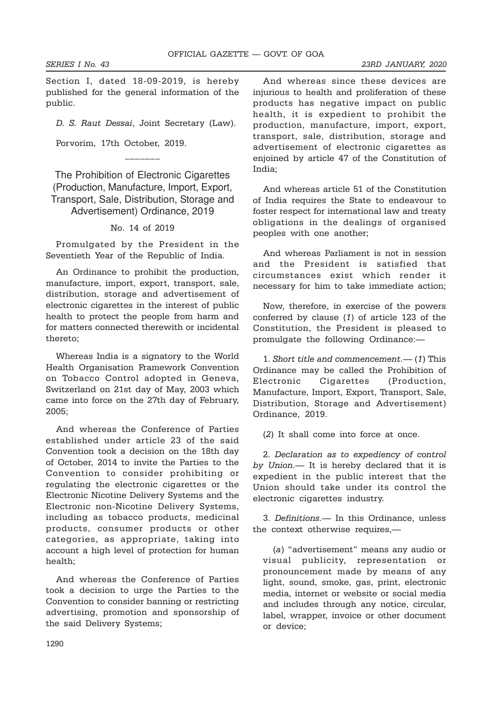Section I, dated 18-09-2019, is hereby published for the general information of the public.

D. S. Raut Dessai, Joint Secretary (Law).

Porvorim, 17th October, 2019.

The Prohibition of Electronic Cigarettes (Production, Manufacture, Import, Export, Transport, Sale, Distribution, Storage and Advertisement) Ordinance, 2019

 $-$ 

### No. 14 of 2019

Promulgated by the President in the Seventieth Year of the Republic of India.

An Ordinance to prohibit the production, manufacture, import, export, transport, sale, distribution, storage and advertisement of electronic cigarettes in the interest of public health to protect the people from harm and for matters connected therewith or incidental thereto;

Whereas India is a signatory to the World Health Organisation Framework Convention on Tobacco Control adopted in Geneva, Switzerland on 21st day of May, 2003 which came into force on the 27th day of February, 2005;

And whereas the Conference of Parties established under article 23 of the said Convention took a decision on the 18th day of October, 2014 to invite the Parties to the Convention to consider prohibiting or regulating the electronic cigarettes or the Electronic Nicotine Delivery Systems and the Electronic non-Nicotine Delivery Systems, including as tobacco products, medicinal products, consumer products or other categories, as appropriate, taking into account a high level of protection for human health;

And whereas the Conference of Parties took a decision to urge the Parties to the Convention to consider banning or restricting advertising, promotion and sponsorship of the said Delivery Systems;

And whereas since these devices are injurious to health and proliferation of these products has negative impact on public health, it is expedient to prohibit the production, manufacture, import, export, transport, sale, distribution, storage and advertisement of electronic cigarettes as enjoined by article 47 of the Constitution of India;

And whereas article 51 of the Constitution of India requires the State to endeavour to foster respect for international law and treaty obligations in the dealings of organised peoples with one another;

And whereas Parliament is not in session and the President is satisfied that circumstances exist which render it necessary for him to take immediate action;

Now, therefore, in exercise of the powers conferred by clause (1) of article 123 of the Constitution, the President is pleased to promulgate the following Ordinance:—

1. Short title and commencement.— (1) This Ordinance may be called the Prohibition of Electronic Cigarettes (Production, Manufacture, Import, Export, Transport, Sale, Distribution, Storage and Advertisement) Ordinance, 2019.

(2) It shall come into force at once.

2. Declaration as to expediency of control by Union.— It is hereby declared that it is expedient in the public interest that the Union should take under its control the electronic cigarettes industry.

3. Definitions.— In this Ordinance, unless the context otherwise requires,—

(a) "advertisement" means any audio or visual publicity, representation or pronouncement made by means of any light, sound, smoke, gas, print, electronic media, internet or website or social media and includes through any notice, circular, label, wrapper, invoice or other document or device;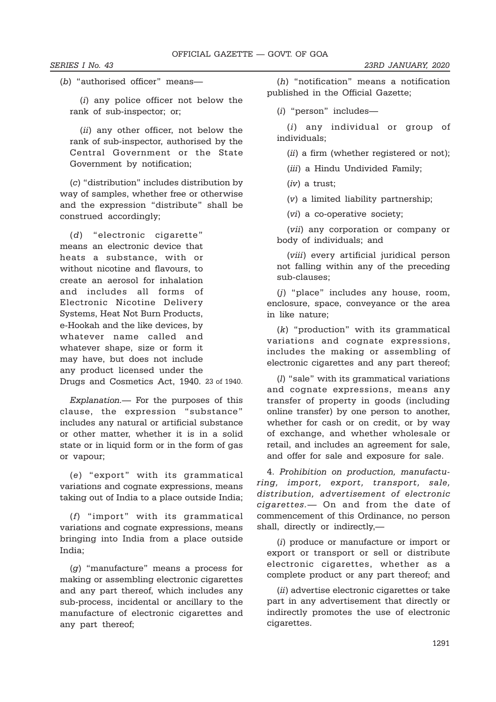(b) "authorised officer" means—

(i) any police officer not below the rank of sub-inspector; or;

(ii) any other officer, not below the rank of sub-inspector, authorised by the Central Government or the State Government by notification;

(c) "distribution" includes distribution by way of samples, whether free or otherwise and the expression "distribute" shall be construed accordingly;

(d) "electronic cigarette" means an electronic device that heats a substance, with or without nicotine and flavours, to create an aerosol for inhalation and includes all forms of Electronic Nicotine Delivery Systems, Heat Not Burn Products, e-Hookah and the like devices, by whatever name called and whatever shape, size or form it may have, but does not include any product licensed under the Drugs and Cosmetics Act, 1940. 23 of 1940.

Explanation.— For the purposes of this clause, the expression "substance" includes any natural or artificial substance or other matter, whether it is in a solid state or in liquid form or in the form of gas or vapour;

(e) "export" with its grammatical variations and cognate expressions, means taking out of India to a place outside India;

(f) "import" with its grammatical variations and cognate expressions, means bringing into India from a place outside India;

(g) "manufacture" means a process for making or assembling electronic cigarettes and any part thereof, which includes any sub-process, incidental or ancillary to the manufacture of electronic cigarettes and any part thereof;

(h) "notification" means a notification published in the Official Gazette;

(i) "person" includes—

(i) any individual or group of individuals;

(*ii*) a firm (whether registered or not);

(iii) a Hindu Undivided Family;

(iv) a trust;

(v) a limited liability partnership;

(vi) a co-operative society;

(vii) any corporation or company or body of individuals; and

(viii) every artificial juridical person not falling within any of the preceding sub-clauses;

(j) "place" includes any house, room, enclosure, space, conveyance or the area in like nature;

(k) "production" with its grammatical variations and cognate expressions, includes the making or assembling of electronic cigarettes and any part thereof;

(l) "sale" with its grammatical variations and cognate expressions, means any transfer of property in goods (including online transfer) by one person to another, whether for cash or on credit, or by way of exchange, and whether wholesale or retail, and includes an agreement for sale, and offer for sale and exposure for sale.

4. Prohibition on production, manufacturing, import, export, transport, sale, distribution, advertisement of electronic cigarettes.— On and from the date of commencement of this Ordinance, no person shall, directly or indirectly,—

(i) produce or manufacture or import or export or transport or sell or distribute electronic cigarettes, whether as a complete product or any part thereof; and

(*ii*) advertise electronic cigarettes or take part in any advertisement that directly or indirectly promotes the use of electronic cigarettes.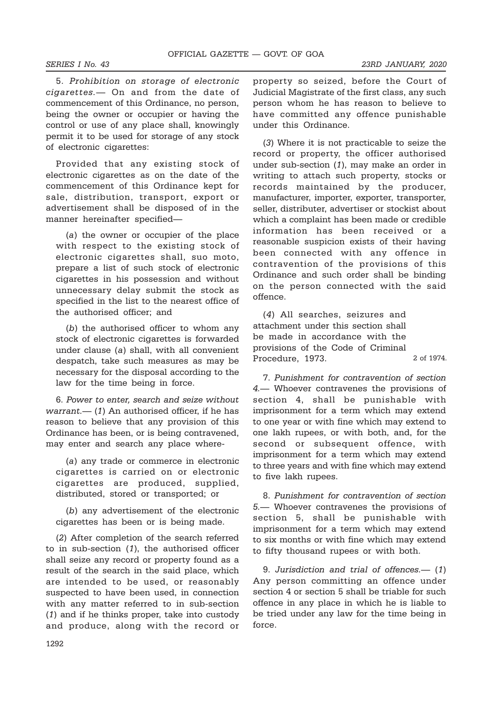2 of 1974.

5. Prohibition on storage of electronic cigarettes.— On and from the date of commencement of this Ordinance, no person, being the owner or occupier or having the control or use of any place shall, knowingly permit it to be used for storage of any stock of electronic cigarettes:

Provided that any existing stock of electronic cigarettes as on the date of the commencement of this Ordinance kept for sale, distribution, transport, export or advertisement shall be disposed of in the manner hereinafter specified—

(a) the owner or occupier of the place with respect to the existing stock of electronic cigarettes shall, suo moto, prepare a list of such stock of electronic cigarettes in his possession and without unnecessary delay submit the stock as specified in the list to the nearest office of the authorised officer; and

(b) the authorised officer to whom any stock of electronic cigarettes is forwarded under clause (a) shall, with all convenient despatch, take such measures as may be necessary for the disposal according to the law for the time being in force.

6. Power to enter, search and seize without  $warm.$   $(1)$  An authorised officer, if he has reason to believe that any provision of this Ordinance has been, or is being contravened, may enter and search any place where-

(a) any trade or commerce in electronic cigarettes is carried on or electronic cigarettes are produced, supplied, distributed, stored or transported; or

(b) any advertisement of the electronic cigarettes has been or is being made.

(2) After completion of the search referred to in sub-section (1), the authorised officer shall seize any record or property found as a result of the search in the said place, which are intended to be used, or reasonably suspected to have been used, in connection with any matter referred to in sub-section (1) and if he thinks proper, take into custody and produce, along with the record or

property so seized, before the Court of Judicial Magistrate of the first class, any such person whom he has reason to believe to have committed any offence punishable under this Ordinance.

(3) Where it is not practicable to seize the record or property, the officer authorised under sub-section (1), may make an order in writing to attach such property, stocks or records maintained by the producer, manufacturer, importer, exporter, transporter, seller, distributer, advertiser or stockist about which a complaint has been made or credible information has been received or a reasonable suspicion exists of their having been connected with any offence in contravention of the provisions of this Ordinance and such order shall be binding on the person connected with the said offence.

(4) All searches, seizures and attachment under this section shall be made in accordance with the provisions of the Code of Criminal Procedure, 1973.

7. Punishment for contravention of section 4.— Whoever contravenes the provisions of section 4, shall be punishable with imprisonment for a term which may extend to one year or with fine which may extend to one lakh rupees, or with both, and, for the second or subsequent offence, with imprisonment for a term which may extend to three years and with fine which may extend to five lakh rupees.

8. Punishment for contravention of section 5.— Whoever contravenes the provisions of section 5, shall be punishable with imprisonment for a term which may extend to six months or with fine which may extend to fifty thousand rupees or with both.

9. Jurisdiction and trial of offences.— (1) Any person committing an offence under section 4 or section 5 shall be triable for such offence in any place in which he is liable to be tried under any law for the time being in force.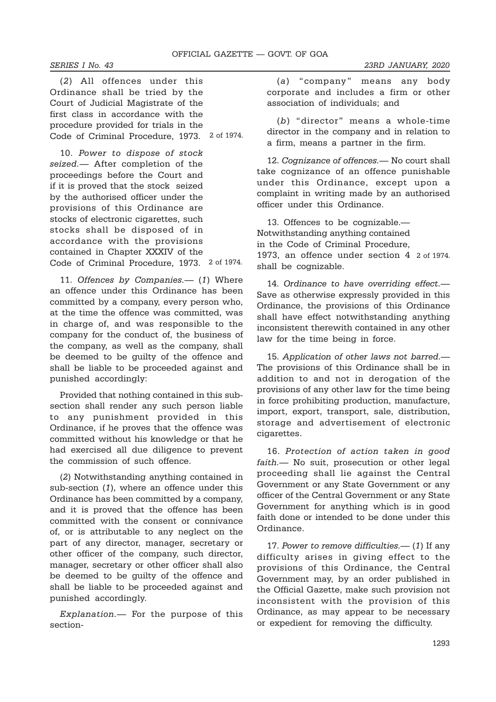(2) All offences under this Ordinance shall be tried by the Court of Judicial Magistrate of the first class in accordance with the procedure provided for trials in the Code of Criminal Procedure, 1973. 2 of 1974.

10. Power to dispose of stock seized.— After completion of the proceedings before the Court and if it is proved that the stock seized by the authorised officer under the provisions of this Ordinance are stocks of electronic cigarettes, such stocks shall be disposed of in accordance with the provisions contained in Chapter XXXIV of the Code of Criminal Procedure, 1973. 2 of 1974.

11. Offences by Companies.— (1) Where an offence under this Ordinance has been committed by a company, every person who, at the time the offence was committed, was in charge of, and was responsible to the company for the conduct of, the business of the company, as well as the company, shall be deemed to be guilty of the offence and shall be liable to be proceeded against and punished accordingly:

Provided that nothing contained in this subsection shall render any such person liable to any punishment provided in this Ordinance, if he proves that the offence was committed without his knowledge or that he had exercised all due diligence to prevent the commission of such offence.

(2) Notwithstanding anything contained in sub-section (1), where an offence under this Ordinance has been committed by a company, and it is proved that the offence has been committed with the consent or connivance of, or is attributable to any neglect on the part of any director, manager, secretary or other officer of the company, such director, manager, secretary or other officer shall also be deemed to be guilty of the offence and shall be liable to be proceeded against and punished accordingly.

Explanation.— For the purpose of this section-

(a) "company" means any body corporate and includes a firm or other association of individuals; and

(b) "director" means a whole-time director in the company and in relation to a firm, means a partner in the firm.

12. Cognizance of offences.— No court shall take cognizance of an offence punishable under this Ordinance, except upon a complaint in writing made by an authorised officer under this Ordinance.

13. Offences to be cognizable.— Notwithstanding anything contained in the Code of Criminal Procedure, 1973, an offence under section 4 2 of 1974.shall be cognizable.

14. Ordinance to have overriding effect.— Save as otherwise expressly provided in this Ordinance, the provisions of this Ordinance shall have effect notwithstanding anything inconsistent therewith contained in any other law for the time being in force.

15. Application of other laws not barred.— The provisions of this Ordinance shall be in addition to and not in derogation of the provisions of any other law for the time being in force prohibiting production, manufacture, import, export, transport, sale, distribution, storage and advertisement of electronic cigarettes.

16. Protection of action taken in good faith.— No suit, prosecution or other legal proceeding shall lie against the Central Government or any State Government or any officer of the Central Government or any State Government for anything which is in good faith done or intended to be done under this Ordinance.

17. Power to remove difficulties.— (1) If any difficulty arises in giving effect to the provisions of this Ordinance, the Central Government may, by an order published in the Official Gazette, make such provision not inconsistent with the provision of this Ordinance, as may appear to be necessary or expedient for removing the difficulty.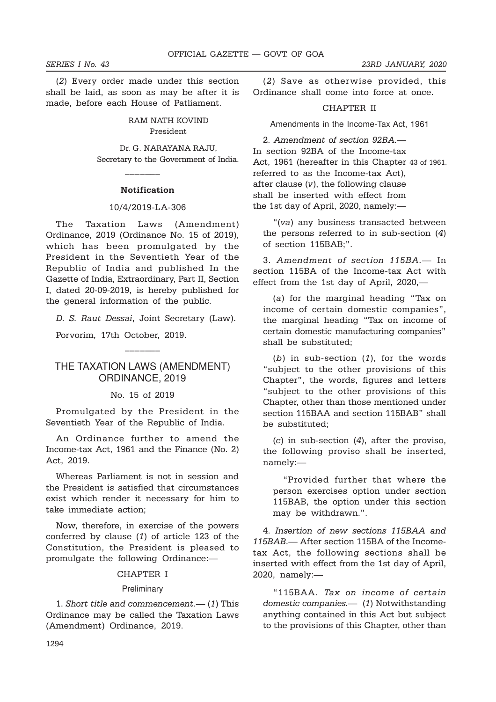(2) Every order made under this section shall be laid, as soon as may be after it is made, before each House of Patliament.

> RAM NATH KOVIND President

Dr. G. NARAYANA RAJU, Secretary to the Government of India.

#### Notification

 $-$ 

#### 10/4/2019-LA-306

The Taxation Laws (Amendment) Ordinance, 2019 (Ordinance No. 15 of 2019), which has been promulgated by the President in the Seventieth Year of the Republic of India and published In the Gazette of India, Extraordinary, Part II, Section I, dated 20-09-2019, is hereby published for the general information of the public.

D. S. Raut Dessai, Joint Secretary (Law).

Porvorim, 17th October, 2019.

## THE TAXATION LAWS (AMENDMENT) ORDINANCE, 2019

 $-$ 

#### No. 15 of 2019

Promulgated by the President in the Seventieth Year of the Republic of India.

An Ordinance further to amend the Income-tax Act, 1961 and the Finance (No. 2) Act, 2019.

Whereas Parliament is not in session and the President is satisfied that circumstances exist which render it necessary for him to take immediate action;

Now, therefore, in exercise of the powers conferred by clause (1) of article 123 of the Constitution, the President is pleased to promulgate the following Ordinance:—

#### CHAPTER I

#### **Preliminary**

1. Short title and commencement.— (1) This Ordinance may be called the Taxation Laws (Amendment) Ordinance, 2019.

(2) Save as otherwise provided, this Ordinance shall come into force at once.

### CHAPTER II

Amendments in the Income-Tax Act, 1961

2. Amendment of section 92BA.— In section 92BA of the Income-tax Act, 1961 (hereafter in this Chapter 43 of 1961.referred to as the Income-tax Act), after clause (v), the following clause shall be inserted with effect from the 1st day of April, 2020, namely:—

"(va) any business transacted between the persons referred to in sub-section (4) of section 115BAB;".

3. Amendment of section 115BA.— In section 115BA of the Income-tax Act with effect from the 1st day of April, 2020,—

(a) for the marginal heading "Tax on income of certain domestic companies", the marginal heading "Tax on income of certain domestic manufacturing companies" shall be substituted;

(b) in sub-section  $(1)$ , for the words "subject to the other provisions of this Chapter", the words, figures and letters "subject to the other provisions of this Chapter, other than those mentioned under section 115BAA and section 115BAB" shall be substituted;

 $(c)$  in sub-section  $(4)$ , after the proviso, the following proviso shall be inserted, namely:—

"Provided further that where the person exercises option under section 115BAB, the option under this section may be withdrawn.".

4. Insertion of new sections 115BAA and 115BAB.— After section 115BA of the Incometax Act, the following sections shall be inserted with effect from the 1st day of April, 2020, namely:—

"115BAA. Tax on income of certain domestic companies.— (1) Notwithstanding anything contained in this Act but subject to the provisions of this Chapter, other than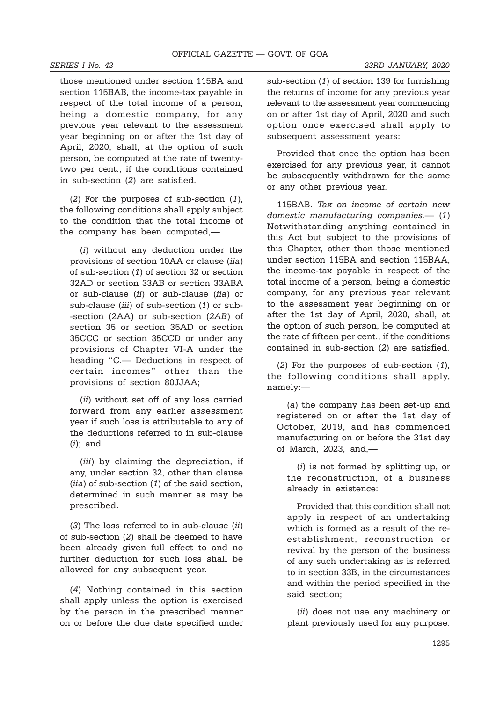those mentioned under section 115BA and section 115BAB, the income-tax payable in respect of the total income of a person, being a domestic company, for any previous year relevant to the assessment year beginning on or after the 1st day of April, 2020, shall, at the option of such person, be computed at the rate of twentytwo per cent., if the conditions contained in sub-section (2) are satisfied.

(2) For the purposes of sub-section (1), the following conditions shall apply subject to the condition that the total income of the company has been computed,—

(i) without any deduction under the provisions of section 10AA or clause (iia) of sub-section (1) of section 32 or section 32AD or section 33AB or section 33ABA or sub-clause (ii) or sub-clause (iia) or sub-clause (iii) of sub-section (1) or sub--section (2AA) or sub-section (2AB) of section 35 or section 35AD or section 35CCC or section 35CCD or under any provisions of Chapter VI-A under the heading "C.— Deductions in respect of certain incomes" other than the provisions of section 80JJAA;

(ii) without set off of any loss carried forward from any earlier assessment year if such loss is attributable to any of the deductions referred to in sub-clause  $(i)$ ; and

(*iii*) by claiming the depreciation, if any, under section 32, other than clause (iia) of sub-section (1) of the said section, determined in such manner as may be prescribed.

(3) The loss referred to in sub-clause  $(ii)$ of sub-section (2) shall be deemed to have been already given full effect to and no further deduction for such loss shall be allowed for any subsequent year.

(4) Nothing contained in this section shall apply unless the option is exercised by the person in the prescribed manner on or before the due date specified under

sub-section (1) of section 139 for furnishing the returns of income for any previous year relevant to the assessment year commencing on or after 1st day of April, 2020 and such option once exercised shall apply to subsequent assessment years:

Provided that once the option has been exercised for any previous year, it cannot be subsequently withdrawn for the same or any other previous year.

115BAB. Tax on income of certain new domestic manufacturing companies.— (1) Notwithstanding anything contained in this Act but subject to the provisions of this Chapter, other than those mentioned under section 115BA and section 115BAA, the income-tax payable in respect of the total income of a person, being a domestic company, for any previous year relevant to the assessment year beginning on or after the 1st day of April, 2020, shall, at the option of such person, be computed at the rate of fifteen per cent., if the conditions contained in sub-section (2) are satisfied.

(2) For the purposes of sub-section (1), the following conditions shall apply, namely:—

(a) the company has been set-up and registered on or after the 1st day of October, 2019, and has commenced manufacturing on or before the 31st day of March, 2023, and,—

(i) is not formed by splitting up, or the reconstruction, of a business already in existence:

Provided that this condition shall not apply in respect of an undertaking which is formed as a result of the reestablishment, reconstruction or revival by the person of the business of any such undertaking as is referred to in section 33B, in the circumstances and within the period specified in the said section;

(ii) does not use any machinery or plant previously used for any purpose.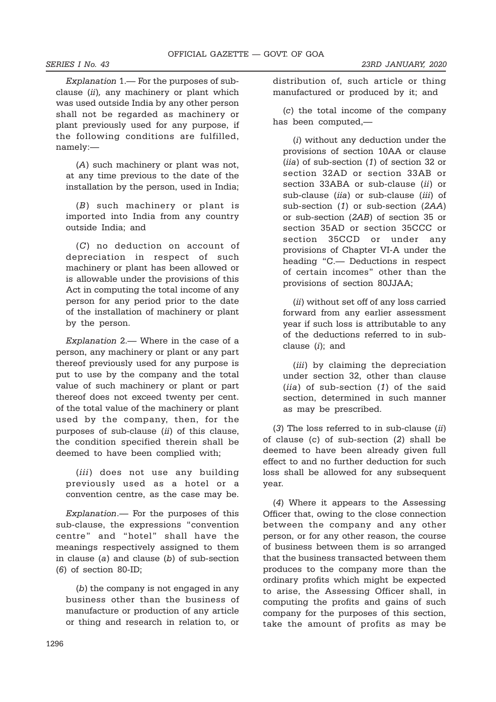Explanation 1.— For the purposes of subclause (ii), any machinery or plant which was used outside India by any other person shall not be regarded as machinery or plant previously used for any purpose, if the following conditions are fulfilled, namely:—

(A) such machinery or plant was not, at any time previous to the date of the installation by the person, used in India;

(B) such machinery or plant is imported into India from any country outside India; and

(C) no deduction on account of depreciation in respect of such machinery or plant has been allowed or is allowable under the provisions of this Act in computing the total income of any person for any period prior to the date of the installation of machinery or plant by the person.

Explanation 2.— Where in the case of a person, any machinery or plant or any part thereof previously used for any purpose is put to use by the company and the total value of such machinery or plant or part thereof does not exceed twenty per cent. of the total value of the machinery or plant used by the company, then, for the purposes of sub-clause (ii) of this clause, the condition specified therein shall be deemed to have been complied with;

(*iii*) does not use any building previously used as a hotel or a convention centre, as the case may be.

Explanation.— For the purposes of this sub-clause, the expressions "convention centre" and "hotel" shall have the meanings respectively assigned to them in clause (a) and clause (b) of sub-section (6) of section 80-ID;

(b) the company is not engaged in any business other than the business of manufacture or production of any article or thing and research in relation to, or distribution of, such article or thing manufactured or produced by it; and

(c) the total income of the company has been computed,—

(i) without any deduction under the provisions of section 10AA or clause (iia) of sub-section (1) of section 32 or section 32AD or section 33AB or section 33ABA or sub-clause (ii) or sub-clause (iia) or sub-clause (iii) of sub-section (1) or sub-section (2AA) or sub-section (2AB) of section 35 or section 35AD or section 35CCC or section 35CCD or under any provisions of Chapter VI-A under the heading "C.— Deductions in respect of certain incomes" other than the provisions of section 80JJAA;

(ii) without set off of any loss carried forward from any earlier assessment year if such loss is attributable to any of the deductions referred to in subclause (i); and

(*iii*) by claiming the depreciation under section 32, other than clause (iia) of sub-section (1) of the said section, determined in such manner as may be prescribed.

 $(3)$  The loss referred to in sub-clause  $(ii)$ of clause (c) of sub-section (2) shall be deemed to have been already given full effect to and no further deduction for such loss shall be allowed for any subsequent year.

(4) Where it appears to the Assessing Officer that, owing to the close connection between the company and any other person, or for any other reason, the course of business between them is so arranged that the business transacted between them produces to the company more than the ordinary profits which might be expected to arise, the Assessing Officer shall, in computing the profits and gains of such company for the purposes of this section, take the amount of profits as may be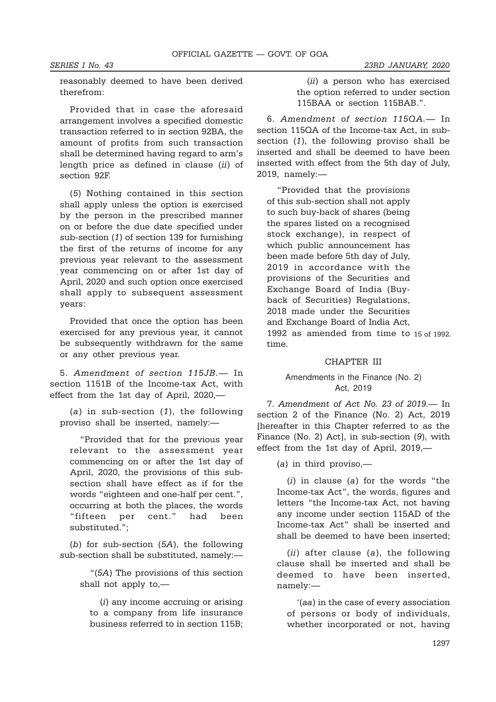reasonably deemed to have been derived therefrom:

Provided that in case the aforesaid arrangement involves a specified domestic transaction referred to in section 92BA, the amount of profits from such transaction shall be determined having regard to arm's length price as defined in clause (ii) of section 92F.

(5) Nothing contained in this section shall apply unless the option is exercised by the person in the prescribed manner on or before the due date specified under sub-section (1) of section 139 for furnishing the first of the returns of income for any previous year relevant to the assessment year commencing on or after 1st day of April, 2020 and such option once exercised shall apply to subsequent assessment years:

Provided that once the option has been exercised for any previous year, it cannot be subsequently withdrawn for the same or any other previous year.

5. Amendment of section 115JB.— In section 1151B of the Income-tax Act, with effect from the 1st day of April, 2020,—

(a) in sub-section  $(1)$ , the following proviso shall be inserted, namely:—

"Provided that for the previous year relevant to the assessment year commencing on or after the 1st day of April, 2020, the provisions of this subsection shall have effect as if for the words "eighteen and one-half per cent.", occurring at both the places, the words "fifteen per cent." had been substituted.";

(b) for sub-section (5A), the following sub-section shall be substituted, namely:—

> "(5A) The provisions of this section shall not apply to,—

(i) any income accruing or arising to a company from life insurance business referred to in section 115B;

(ii) a person who has exercised the option referred to under section 115BAA or section 115BAB.".

6. Amendment of section 115QA.— In section 115QA of the Income-tax Act, in subsection (1), the following proviso shall be inserted and shall be deemed to have been inserted with effect from the 5th day of July, 2019, namely:—

"Provided that the provisions of this sub-section shall not apply to such buy-back of shares (being the spares listed on a recognised stock exchange), in respect of which public announcement has been made before 5th day of July, 2019 in accordance with the provisions of the Securities and Exchange Board of India (Buyback of Securities) Regulations, 2018 made under the Securities and Exchange Board of India Act, 1992 as amended from time to 15 of 1992.time.

#### CHAPTER III

### Amendments in the Finance (No. 2) Act, 2019

7. Amendment of Act No. 23 of 2019.— In section 2 of the Finance (No. 2) Act, 2019 [hereafter in this Chapter referred to as the Finance (No. 2) Act], in sub-section (9), with effect from the 1st day of April, 2019,—

(a) in third proviso,—

 $(i)$  in clause  $(a)$  for the words "the Income-tax Act", the words, figures and letters "the Income-tax Act, not having any income under section 115AD of the Income-tax Act" shall be inserted and shall be deemed to have been inserted;

(*ii*) after clause (*a*), the following clause shall be inserted and shall be deemed to have been inserted, namely:—

'(aa) in the case of every association of persons or body of individuals, whether incorporated or not, having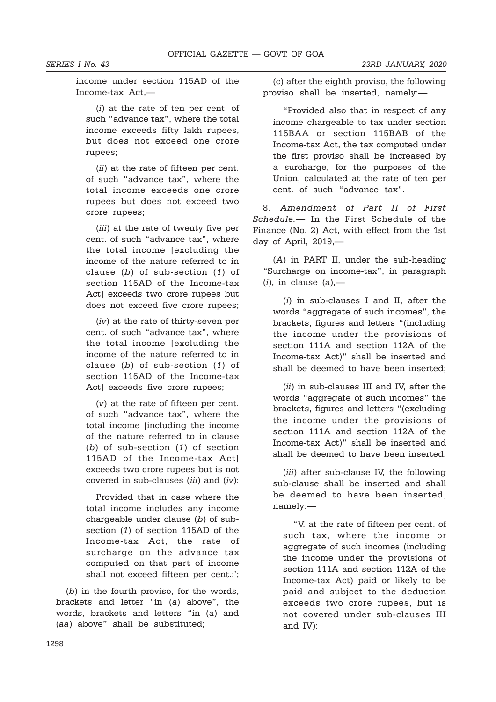income under section 115AD of the Income-tax Act,—

(i) at the rate of ten per cent. of such "advance tax", where the total income exceeds fifty lakh rupees, but does not exceed one crore rupees;

(*ii*) at the rate of fifteen per cent. of such "advance tax", where the total income exceeds one crore rupees but does not exceed two crore rupees;

(*iii*) at the rate of twenty five per cent. of such "advance tax", where the total income [excluding the income of the nature referred to in clause (b) of sub-section (1) of section 115AD of the Income-tax Act] exceeds two crore rupees but does not exceed five crore rupees;

(iv) at the rate of thirty-seven per cent. of such "advance tax", where the total income [excluding the income of the nature referred to in clause (b) of sub-section (1) of section 115AD of the Income-tax Act] exceeds five crore rupees;

(v) at the rate of fifteen per cent. of such "advance tax", where the total income [including the income of the nature referred to in clause (b) of sub-section (1) of section 115AD of the Income-tax Act] exceeds two crore rupees but is not covered in sub-clauses (iii) and (iv):

Provided that in case where the total income includes any income chargeable under clause (b) of subsection (1) of section 115AD of the Income-tax Act, the rate of surcharge on the advance tax computed on that part of income shall not exceed fifteen per cent.;';

(b) in the fourth proviso, for the words, brackets and letter "in (a) above", the words, brackets and letters "in (a) and (aa) above" shall be substituted;

(c) after the eighth proviso, the following proviso shall be inserted, namely:—

"Provided also that in respect of any income chargeable to tax under section 115BAA or section 115BAB of the Income-tax Act, the tax computed under the first proviso shall be increased by a surcharge, for the purposes of the Union, calculated at the rate of ten per cent. of such "advance tax".

8. Amendment of Part II of First Schedule.— In the First Schedule of the Finance (No. 2) Act, with effect from the 1st day of April, 2019,—

(A) in PART II, under the sub-heading "Surcharge on income-tax", in paragraph  $(i)$ , in clause  $(a)$ ,—

(i) in sub-clauses I and II, after the words "aggregate of such incomes", the brackets, figures and letters "(including the income under the provisions of section 111A and section 112A of the Income-tax Act)" shall be inserted and shall be deemed to have been inserted;

(*ii*) in sub-clauses III and IV, after the words "aggregate of such incomes" the brackets, figures and letters "(excluding the income under the provisions of section 111A and section 112A of the Income-tax Act)" shall be inserted and shall be deemed to have been inserted.

(*iii*) after sub-clause IV, the following sub-clause shall be inserted and shall be deemed to have been inserted, namely:—

"V. at the rate of fifteen per cent. of such tax, where the income or aggregate of such incomes (including the income under the provisions of section 111A and section 112A of the Income-tax Act) paid or likely to be paid and subject to the deduction exceeds two crore rupees, but is not covered under sub-clauses III and IV):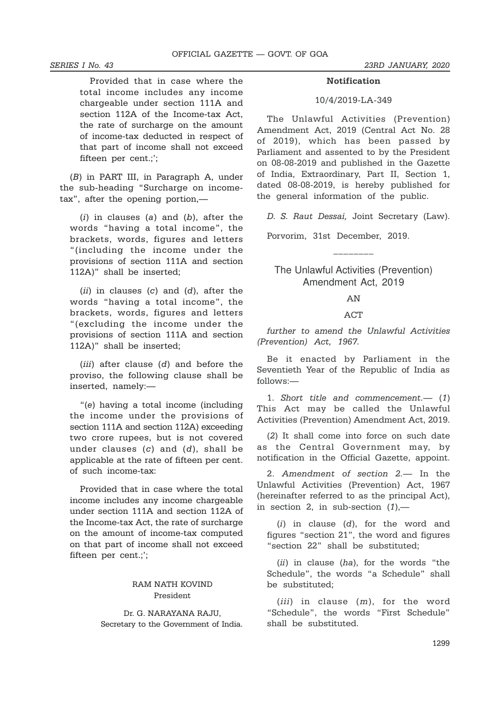Provided that in case where the total income includes any income chargeable under section 111A and section 112A of the Income-tax Act, the rate of surcharge on the amount of income-tax deducted in respect of that part of income shall not exceed fifteen per cent.;';

(B) in PART III, in Paragraph A, under the sub-heading "Surcharge on incometax", after the opening portion,—

 $(i)$  in clauses  $(a)$  and  $(b)$ , after the words "having a total income", the brackets, words, figures and letters "(including the income under the provisions of section 111A and section 112A)" shall be inserted;

(ii) in clauses (c) and (d), after the words "having a total income", the brackets, words, figures and letters "(excluding the income under the provisions of section 111A and section 112A)" shall be inserted;

(*iii*) after clause (*d*) and before the proviso, the following clause shall be inserted, namely:—

"(e) having a total income (including the income under the provisions of section 111A and section 112A) exceeding two crore rupees, but is not covered under clauses  $(c)$  and  $(d)$ , shall be applicable at the rate of fifteen per cent. of such income-tax:

Provided that in case where the total income includes any income chargeable under section 111A and section 112A of the Income-tax Act, the rate of surcharge on the amount of income-tax computed on that part of income shall not exceed fifteen per cent.;';

### RAM NATH KOVIND President

Dr. G. NARAYANA RAJU, Secretary to the Government of India.

#### Notification

#### 10/4/2019-LA-349

The Unlawful Activities (Prevention) Amendment Act, 2019 (Central Act No. 28 of 2019), which has been passed by Parliament and assented to by the President on 08-08-2019 and published in the Gazette of India, Extraordinary, Part II, Section 1, dated 08-08-2019, is hereby published for the general information of the public.

D. S. Raut Dessai, Joint Secretary (Law).

Porvorim, 31st December, 2019.

# The Unlawful Activities (Prevention) Amendment Act, 2019

\_\_\_\_\_\_\_\_

#### AN

#### **ACT**

further to amend the Unlawful Activities (Prevention) Act, 1967.

Be it enacted by Parliament in the Seventieth Year of the Republic of India as follows:—

1. Short title and commencement.— (1) This Act may be called the Unlawful Activities (Prevention) Amendment Act, 2019.

(2) It shall come into force on such date as the Central Government may, by notification in the Official Gazette, appoint.

2. Amendment of section 2.— In the Unlawful Activities (Prevention) Act, 1967 (hereinafter referred to as the principal Act), in section 2, in sub-section  $(1)$ ,—

 $(i)$  in clause  $(d)$ , for the word and figures "section 21", the word and figures "section 22" shall be substituted;

(*ii*) in clause (*ha*), for the words "the Schedule", the words "a Schedule" shall be substituted;

 $(iii)$  in clause  $(m)$ , for the word "Schedule", the words "First Schedule" shall be substituted.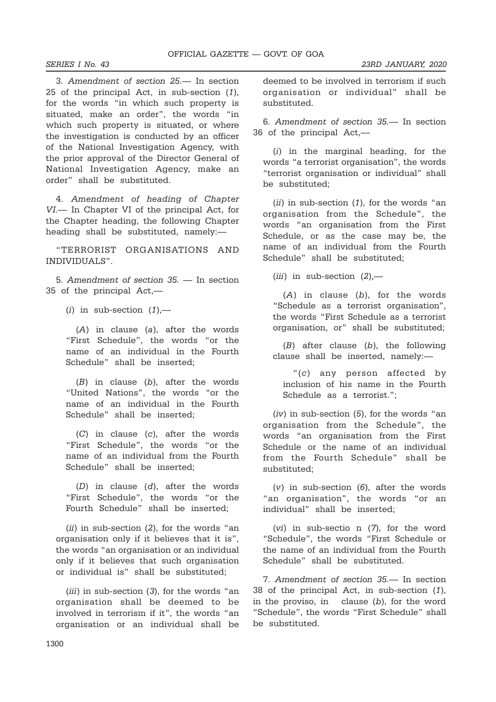3. Amendment of section 25.— In section 25 of the principal Act, in sub-section (1), for the words "in which such property is situated, make an order", the words "in which such property is situated, or where the investigation is conducted by an officer of the National Investigation Agency, with the prior approval of the Director General of National Investigation Agency, make an order" shall be substituted.

4. Amendment of heading of Chapter VI.— In Chapter VI of the principal Act, for the Chapter heading, the following Chapter heading shall be substituted, namely:—

"TERRORIST ORGANISATIONS AND INDIVIDUALS".

5. Amendment of section 35. — In section 35 of the principal Act,—

(*i*) in sub-section  $(1)$ ,—

(A) in clause (a), after the words "First Schedule", the words "or the name of an individual in the Fourth Schedule" shall be inserted;

 $(B)$  in clause  $(b)$ , after the words "United Nations", the words "or the name of an individual in the Fourth Schedule" shall be inserted;

(C) in clause (c), after the words "First Schedule", the words "or the name of an individual from the Fourth Schedule" shall be inserted;

(D) in clause (d), after the words "First Schedule", the words "or the Fourth Schedule" shall be inserted;

 $(ii)$  in sub-section  $(2)$ , for the words "an organisation only if it believes that it is", the words "an organisation or an individual only if it believes that such organisation or individual is" shall be substituted;

 $(iii)$  in sub-section  $(3)$ , for the words "an organisation shall be deemed to be involved in terrorism if it", the words "an organisation or an individual shall be deemed to be involved in terrorism if such organisation or individual" shall be substituted.

6. Amendment of section 35.— In section 36 of the principal Act,—

(i) in the marginal heading, for the words "a terrorist organisation", the words "terrorist organisation or individual" shall be substituted;

 $(ii)$  in sub-section  $(1)$ , for the words "an organisation from the Schedule", the words "an organisation from the First Schedule, or as the case may be, the name of an individual from the Fourth Schedule" shall be substituted;

 $(iii)$  in sub-section  $(2)$ ,—

 $(A)$  in clause  $(b)$ , for the words "Schedule as a terrorist organisation", the words "First Schedule as a terrorist organisation, or" shall be substituted;

 $(B)$  after clause  $(b)$ , the following clause shall be inserted, namely:—

"(c) any person affected by inclusion of his name in the Fourth Schedule as a terrorist.";

 $(iv)$  in sub-section  $(5)$ , for the words "an organisation from the Schedule", the words "an organisation from the First Schedule or the name of an individual from the Fourth Schedule" shall be substituted;

 $(v)$  in sub-section  $(6)$ , after the words "an organisation", the words "or an individual" shall be inserted;

(vi) in sub-sectio n (7), for the word "Schedule", the words "First Schedule or the name of an individual from the Fourth Schedule" shall be substituted.

7. Amendment of section 35.— In section 38 of the principal Act, in sub-section (1), in the proviso, in clause  $(b)$ , for the word "Schedule", the words "First Schedule" shall be substituted.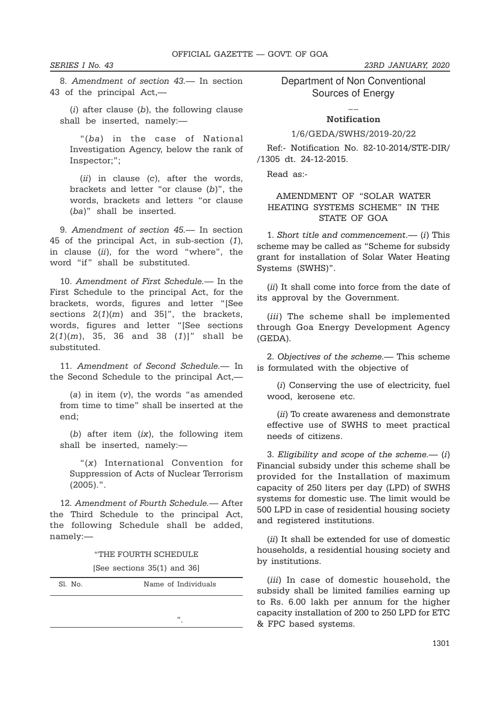8. Amendment of section 43.— In section 43 of the principal Act,—

 $(i)$  after clause  $(b)$ , the following clause shall be inserted, namely:—

"(ba) in the case of National Investigation Agency, below the rank of Inspector;";

 $(ii)$  in clause  $(c)$ , after the words, brackets and letter "or clause (b)", the words, brackets and letters "or clause (ba)" shall be inserted.

9. Amendment of section 45.— In section 45 of the principal Act, in sub-section (1), in clause  $(ii)$ , for the word "where", the word "if" shall be substituted.

10. Amendment of First Schedule.— In the First Schedule to the principal Act, for the brackets, words, figures and letter "[See sections  $2(1)(m)$  and  $35$ ]", the brackets, words, figures and letter "[See sections  $2(1)(m)$ , 35, 36 and 38  $(1)$ ]" shall be substituted.

11. Amendment of Second Schedule.— In the Second Schedule to the principal Act,—

 $(a)$  in item  $(v)$ , the words "as amended from time to time" shall be inserted at the end;

(b) after item  $(ix)$ , the following item shall be inserted, namely:—

"(x) International Convention for Suppression of Acts of Nuclear Terrorism (2005).".

12. Amendment of Fourth Schedule.— After the Third Schedule to the principal Act, the following Schedule shall be added, namely:—

"THE FOURTH SCHEDULE

[See sections 35(1) and 36]

| Sl. No. | Name of Individuals |
|---------|---------------------|
|         |                     |
|         | , 1<br>٠            |

Department of Non Conventional Sources of Energy

# $\overline{a}$ Notification

#### 1/6/GEDA/SWHS/2019-20/22

Ref:- Notification No. 82-10-2014/STE-DIR/ /1305 dt. 24-12-2015.

Read as:-

### AMENDMENT OF "SOLAR WATER HEATING SYSTEMS SCHEME" IN THE STATE OF GOA

1. Short title and commencement.— (i) This scheme may be called as "Scheme for subsidy grant for installation of Solar Water Heating Systems (SWHS)".

(ii) It shall come into force from the date of its approval by the Government.

(*iii*) The scheme shall be implemented through Goa Energy Development Agency (GEDA).

2. Objectives of the scheme.— This scheme is formulated with the objective of

(i) Conserving the use of electricity, fuel wood, kerosene etc.

(ii) To create awareness and demonstrate effective use of SWHS to meet practical needs of citizens.

3. Eligibility and scope of the scheme.— $(i)$ Financial subsidy under this scheme shall be provided for the Installation of maximum capacity of 250 liters per day (LPD) of SWHS systems for domestic use. The limit would be 500 LPD in case of residential housing society and registered institutions.

(ii) It shall be extended for use of domestic households, a residential housing society and by institutions.

(*iii*) In case of domestic household, the subsidy shall be limited families earning up to Rs. 6.00 lakh per annum for the higher capacity installation of 200 to 250 LPD for ETC & FPC based systems.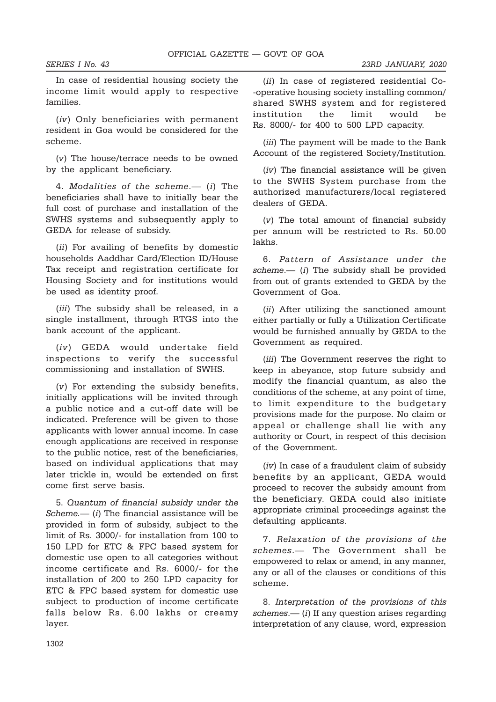In case of residential housing society the income limit would apply to respective families.

(iv) Only beneficiaries with permanent resident in Goa would be considered for the scheme.

(v) The house/terrace needs to be owned by the applicant beneficiary.

4. Modalities of the scheme.— (i) The beneficiaries shall have to initially bear the full cost of purchase and installation of the SWHS systems and subsequently apply to GEDA for release of subsidy.

(ii) For availing of benefits by domestic households Aaddhar Card/Election ID/House Tax receipt and registration certificate for Housing Society and for institutions would be used as identity proof.

(*iii*) The subsidy shall be released, in a single installment, through RTGS into the bank account of the applicant.

(iv) GEDA would undertake field inspections to verify the successful commissioning and installation of SWHS.

(v) For extending the subsidy benefits, initially applications will be invited through a public notice and a cut-off date will be indicated. Preference will be given to those applicants with lower annual income. In case enough applications are received in response to the public notice, rest of the beneficiaries, based on individual applications that may later trickle in, would be extended on first come first serve basis.

5. Quantum of financial subsidy under the  $Scheme$ . (i) The financial assistance will be provided in form of subsidy, subject to the limit of Rs. 3000/- for installation from 100 to 150 LPD for ETC & FPC based system for domestic use open to all categories without income certificate and Rs. 6000/- for the installation of 200 to 250 LPD capacity for ETC & FPC based system for domestic use subject to production of income certificate falls below Rs. 6.00 lakhs or creamy layer.

(ii) In case of registered residential Co- -operative housing society installing common/ shared SWHS system and for registered institution the limit would be Rs. 8000/- for 400 to 500 LPD capacity.

(*iii*) The payment will be made to the Bank Account of the registered Society/Institution.

(iv) The financial assistance will be given to the SWHS System purchase from the authorized manufacturers/local registered dealers of GEDA.

(v) The total amount of financial subsidy per annum will be restricted to Rs. 50.00 lakhs.

6. Pattern of Assistance under the scheme.— (i) The subsidy shall be provided from out of grants extended to GEDA by the Government of Goa.

(*ii*) After utilizing the sanctioned amount either partially or fully a Utilization Certificate would be furnished annually by GEDA to the Government as required.

(iii) The Government reserves the right to keep in abeyance, stop future subsidy and modify the financial quantum, as also the conditions of the scheme, at any point of time, to limit expenditure to the budgetary provisions made for the purpose. No claim or appeal or challenge shall lie with any authority or Court, in respect of this decision of the Government.

(iv) In case of a fraudulent claim of subsidy benefits by an applicant, GEDA would proceed to recover the subsidy amount from the beneficiary. GEDA could also initiate appropriate criminal proceedings against the defaulting applicants.

7. Relaxation of the provisions of the schemes.— The Government shall be empowered to relax or amend, in any manner, any or all of the clauses or conditions of this scheme.

8. Interpretation of the provisions of this  $schemes$   $(i)$  If any question arises regarding interpretation of any clause, word, expression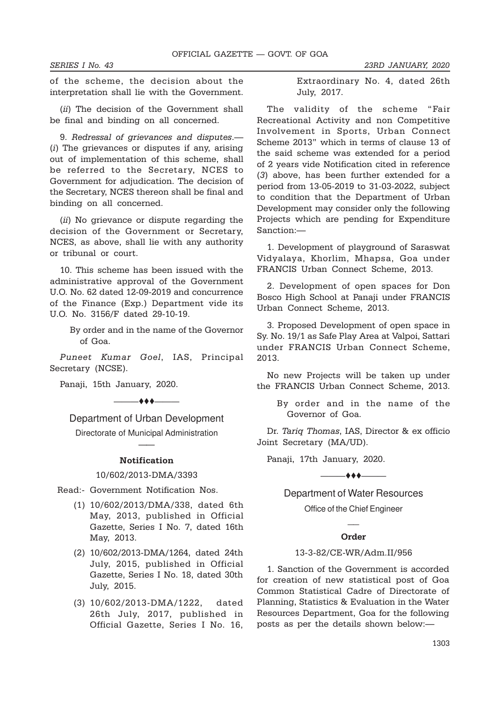of the scheme, the decision about the interpretation shall lie with the Government.

(*ii*) The decision of the Government shall be final and binding on all concerned.

9. Redressal of grievances and disputes.— (i) The grievances or disputes if any, arising out of implementation of this scheme, shall be referred to the Secretary, NCES to Government for adjudication. The decision of the Secretary, NCES thereon shall be final and binding on all concerned.

(ii) No grievance or dispute regarding the decision of the Government or Secretary, NCES, as above, shall lie with any authority or tribunal or court.

10. This scheme has been issued with the administrative approval of the Government U.O. No. 62 dated 12-09-2019 and concurrence of the Finance (Exp.) Department vide its U.O. No. 3156/F dated 29-10-19.

> By order and in the name of the Governor of Goa.

Puneet Kumar Goel, IAS, Principal Secretary (NCSE).

Panaji, 15th January, 2020.

—— $\leftrightarrow$ 

Department of Urban Development Directorate of Municipal Administration

# —— Notification

10/602/2013-DMA/3393

Read:- Government Notification Nos.

- (1) 10/602/2013/DMA/338, dated 6th May, 2013, published in Official Gazette, Series I No. 7, dated 16th May, 2013.
- (2) 10/602/2013-DMA/1264, dated 24th July, 2015, published in Official Gazette, Series I No. 18, dated 30th July, 2015.
- (3) 10/602/2013-DMA/1222, dated 26th July, 2017, published in Official Gazette, Series I No. 16,

Extraordinary No. 4, dated 26th July, 2017.

The validity of the scheme "Fair Recreational Activity and non Competitive Involvement in Sports, Urban Connect Scheme 2013" which in terms of clause 13 of the said scheme was extended for a period of 2 years vide Notification cited in reference (3) above, has been further extended for a period from 13-05-2019 to 31-03-2022, subject to condition that the Department of Urban Development may consider only the following Projects which are pending for Expenditure Sanction:—

1. Development of playground of Saraswat Vidyalaya, Khorlim, Mhapsa, Goa under FRANCIS Urban Connect Scheme, 2013.

2. Development of open spaces for Don Bosco High School at Panaji under FRANCIS Urban Connect Scheme, 2013.

3. Proposed Development of open space in Sy. No. 19/1 as Safe Play Area at Valpoi, Sattari under FRANCIS Urban Connect Scheme, 2013.

No new Projects will be taken up under the FRANCIS Urban Connect Scheme, 2013.

> By order and in the name of the Governor of Goa.

Dr. Tariq Thomas, IAS, Director & ex officio Joint Secretary (MA/UD).

Panaji, 17th January, 2020.

#### ———ttt———

### Department of Water Resources

Office of the Chief Engineer  $\overline{a}$ 

#### Order

#### 13-3-82/CE-WR/Adm.II/956

1. Sanction of the Government is accorded for creation of new statistical post of Goa Common Statistical Cadre of Directorate of Planning, Statistics & Evaluation in the Water Resources Department, Goa for the following posts as per the details shown below:—